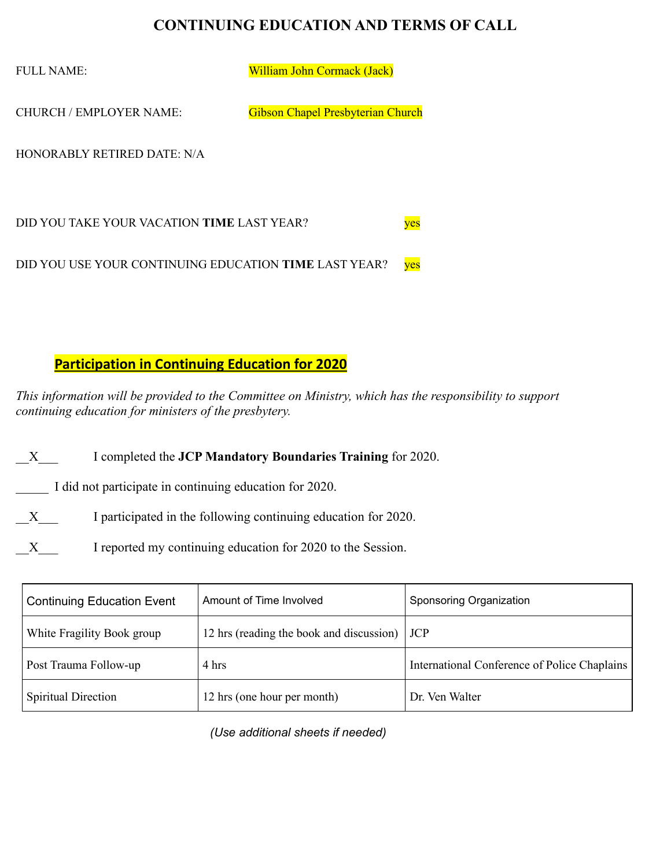## **CONTINUING EDUCATION AND TERMS OF CALL**

FULL NAME: William John Cormack (Jack)

CHURCH / EMPLOYER NAME: Gibson Chapel Presbyterian Church

HONORABLY RETIRED DATE: N/A

DID YOU TAKE YOUR VACATION **TIME** LAST YEAR? DID YOU USE YOUR CONTINUING EDUCATION **TIME** LAST YEAR? ves

## **Participation in Continuing Education for 2020**

*This information will be provided to the Committee on Ministry, which has the responsibility to support continuing education for ministers of the presbytery.* 

\_\_X\_\_\_ I completed the **JCP Mandatory Boundaries Training** for 2020.

\_\_\_\_\_ I did not participate in continuing education for 2020.

X I participated in the following continuing education for 2020.

X I reported my continuing education for 2020 to the Session.

| <b>Continuing Education Event</b> | Amount of Time Involved                              | Sponsoring Organization                      |
|-----------------------------------|------------------------------------------------------|----------------------------------------------|
| White Fragility Book group        | 12 hrs (reading the book and discussion) $\vert$ JCP |                                              |
| Post Trauma Follow-up             | 4 hrs                                                | International Conference of Police Chaplains |
| <b>Spiritual Direction</b>        | 12 hrs (one hour per month)                          | Dr. Ven Walter                               |

*(Use additional sheets if needed)*